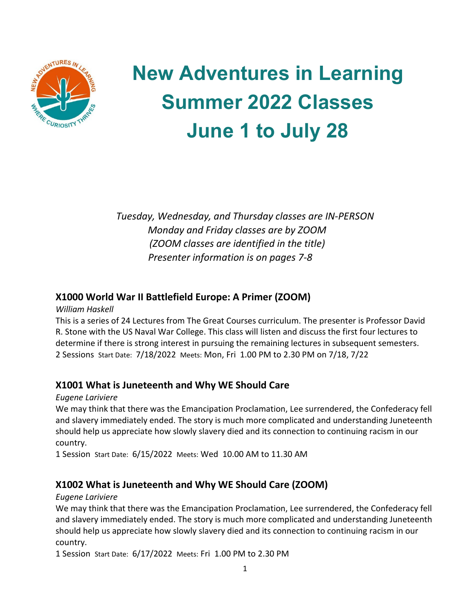

# **New Adventures in Learning Summer 2022 Classes June 1 to July 28**

*Tuesday, Wednesday, and Thursday classes are IN-PERSON Monday and Friday classes are by ZOOM (ZOOM classes are identified in the title) Presenter information is on pages 7-8*

## **X1000 World War II Battlefield Europe: A Primer (ZOOM)**

*William Haskell*

This is a series of 24 Lectures from The Great Courses curriculum. The presenter is Professor David R. Stone with the US Naval War College. This class will listen and discuss the first four lectures to determine if there is strong interest in pursuing the remaining lectures in subsequent semesters. 2 Sessions Start Date: 7/18/2022 Meets: Mon, Fri 1.00 PM to 2.30 PM on 7/18, 7/22

# **X1001 What is Juneteenth and Why WE Should Care**

*Eugene Lariviere*

We may think that there was the Emancipation Proclamation, Lee surrendered, the Confederacy fell and slavery immediately ended. The story is much more complicated and understanding Juneteenth should help us appreciate how slowly slavery died and its connection to continuing racism in our country.

1 Session Start Date: 6/15/2022 Meets: Wed 10.00 AM to 11.30 AM

# **X1002 What is Juneteenth and Why WE Should Care (ZOOM)**

*Eugene Lariviere*

We may think that there was the Emancipation Proclamation, Lee surrendered, the Confederacy fell and slavery immediately ended. The story is much more complicated and understanding Juneteenth should help us appreciate how slowly slavery died and its connection to continuing racism in our country.

1 Session Start Date: 6/17/2022 Meets: Fri 1.00 PM to 2.30 PM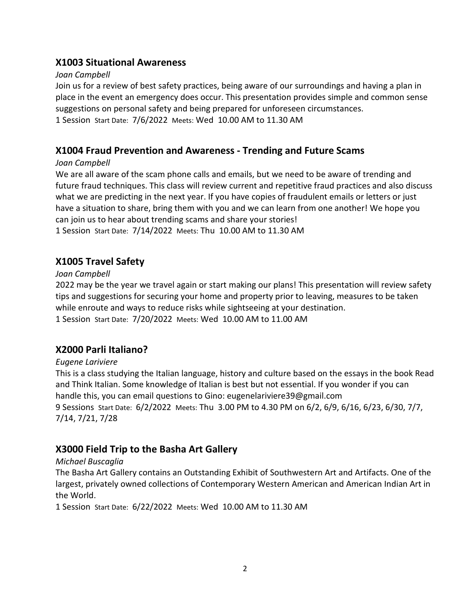## **X1003 Situational Awareness**

## *Joan Campbell*

Join us for a review of best safety practices, being aware of our surroundings and having a plan in place in the event an emergency does occur. This presentation provides simple and common sense suggestions on personal safety and being prepared for unforeseen circumstances. 1 Session Start Date: 7/6/2022 Meets: Wed 10.00 AM to 11.30 AM

## **X1004 Fraud Prevention and Awareness - Trending and Future Scams**

## *Joan Campbell*

We are all aware of the scam phone calls and emails, but we need to be aware of trending and future fraud techniques. This class will review current and repetitive fraud practices and also discuss what we are predicting in the next year. If you have copies of fraudulent emails or letters or just have a situation to share, bring them with you and we can learn from one another! We hope you can join us to hear about trending scams and share your stories! 1 Session Start Date: 7/14/2022 Meets: Thu 10.00 AM to 11.30 AM

# **X1005 Travel Safety**

## *Joan Campbell*

2022 may be the year we travel again or start making our plans! This presentation will review safety tips and suggestions for securing your home and property prior to leaving, measures to be taken while enroute and ways to reduce risks while sightseeing at your destination. 1 Session Start Date: 7/20/2022 Meets: Wed 10.00 AM to 11.00 AM

# **X2000 Parli Italiano?**

## *Eugene Lariviere*

This is a class studying the Italian language, history and culture based on the essays in the book Read and Think Italian. Some knowledge of Italian is best but not essential. If you wonder if you can handle this, you can email questions to Gino: eugenelariviere39@gmail.com 9 Sessions Start Date: 6/2/2022 Meets: Thu 3.00 PM to 4.30 PM on 6/2, 6/9, 6/16, 6/23, 6/30, 7/7, 7/14, 7/21, 7/28

# **X3000 Field Trip to the Basha Art Gallery**

## *Michael Buscaglia*

The Basha Art Gallery contains an Outstanding Exhibit of Southwestern Art and Artifacts. One of the largest, privately owned collections of Contemporary Western American and American Indian Art in the World.

1 Session Start Date: 6/22/2022 Meets: Wed 10.00 AM to 11.30 AM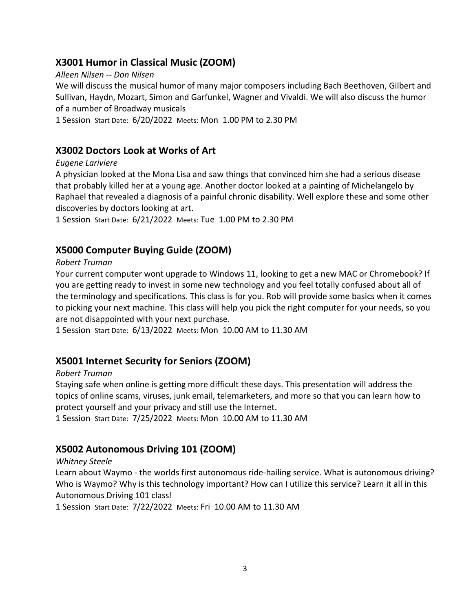## **X3001 Humor in Classical Music (ZOOM)**

## *Alleen Nilsen -- Don Nilsen*

We will discuss the musical humor of many major composers including Bach Beethoven, Gilbert and Sullivan, Haydn, Mozart, Simon and Garfunkel, Wagner and Vivaldi. We will also discuss the humor of a number of Broadway musicals

1 Session Start Date: 6/20/2022 Meets: Mon 1.00 PM to 2.30 PM

## **X3002 Doctors Look at Works of Art**

## *Eugene Lariviere*

A physician looked at the Mona Lisa and saw things that convinced him she had a serious disease that probably killed her at a young age. Another doctor looked at a painting of Michelangelo by Raphael that revealed a diagnosis of a painful chronic disability. Well explore these and some other discoveries by doctors looking at art.

1 Session Start Date: 6/21/2022 Meets: Tue 1.00 PM to 2.30 PM

# **X5000 Computer Buying Guide (ZOOM)**

## *Robert Truman*

Your current computer wont upgrade to Windows 11, looking to get a new MAC or Chromebook? If you are getting ready to invest in some new technology and you feel totally confused about all of the terminology and specifications. This class is for you. Rob will provide some basics when it comes to picking your next machine. This class will help you pick the right computer for your needs, so you are not disappointed with your next purchase.

1 Session Start Date: 6/13/2022 Meets: Mon 10.00 AM to 11.30 AM

# **X5001 Internet Security for Seniors (ZOOM)**

## *Robert Truman*

Staying safe when online is getting more difficult these days. This presentation will address the topics of online scams, viruses, junk email, telemarketers, and more so that you can learn how to protect yourself and your privacy and still use the Internet.

1 Session Start Date: 7/25/2022 Meets: Mon 10.00 AM to 11.30 AM

# **X5002 Autonomous Driving 101 (ZOOM)**

## *Whitney Steele*

Learn about Waymo - the worlds first autonomous ride-hailing service. What is autonomous driving? Who is Waymo? Why is this technology important? How can I utilize this service? Learn it all in this Autonomous Driving 101 class!

1 Session Start Date: 7/22/2022 Meets: Fri 10.00 AM to 11.30 AM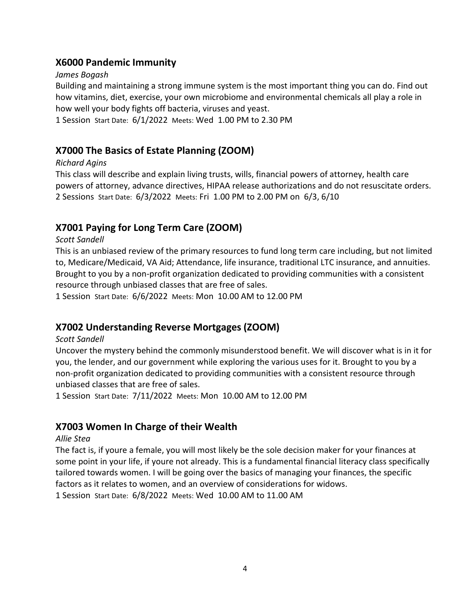## **X6000 Pandemic Immunity**

#### *James Bogash*

Building and maintaining a strong immune system is the most important thing you can do. Find out how vitamins, diet, exercise, your own microbiome and environmental chemicals all play a role in how well your body fights off bacteria, viruses and yeast.

1 Session Start Date: 6/1/2022 Meets: Wed 1.00 PM to 2.30 PM

## **X7000 The Basics of Estate Planning (ZOOM)**

## *Richard Agins*

This class will describe and explain living trusts, wills, financial powers of attorney, health care powers of attorney, advance directives, HIPAA release authorizations and do not resuscitate orders. 2 Sessions Start Date: 6/3/2022 Meets: Fri 1.00 PM to 2.00 PM on 6/3, 6/10

## **X7001 Paying for Long Term Care (ZOOM)**

## *Scott Sandell*

This is an unbiased review of the primary resources to fund long term care including, but not limited to, Medicare/Medicaid, VA Aid; Attendance, life insurance, traditional LTC insurance, and annuities. Brought to you by a non-profit organization dedicated to providing communities with a consistent resource through unbiased classes that are free of sales.

1 Session Start Date: 6/6/2022 Meets: Mon 10.00 AM to 12.00 PM

# **X7002 Understanding Reverse Mortgages (ZOOM)**

## *Scott Sandell*

Uncover the mystery behind the commonly misunderstood benefit. We will discover what is in it for you, the lender, and our government while exploring the various uses for it. Brought to you by a non-profit organization dedicated to providing communities with a consistent resource through unbiased classes that are free of sales.

1 Session Start Date: 7/11/2022 Meets: Mon 10.00 AM to 12.00 PM

## **X7003 Women In Charge of their Wealth**

## *Allie Stea*

The fact is, if youre a female, you will most likely be the sole decision maker for your finances at some point in your life, if youre not already. This is a fundamental financial literacy class specifically tailored towards women. I will be going over the basics of managing your finances, the specific factors as it relates to women, and an overview of considerations for widows. 1 Session Start Date: 6/8/2022 Meets: Wed 10.00 AM to 11.00 AM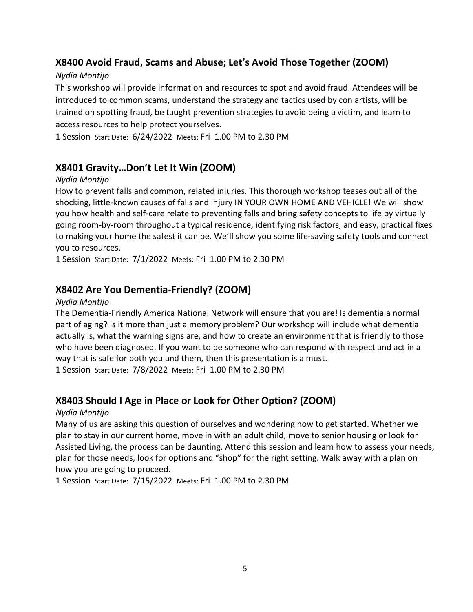# **X8400 Avoid Fraud, Scams and Abuse; Let's Avoid Those Together (ZOOM)**

## *Nydia Montijo*

This workshop will provide information and resources to spot and avoid fraud. Attendees will be introduced to common scams, understand the strategy and tactics used by con artists, will be trained on spotting fraud, be taught prevention strategies to avoid being a victim, and learn to access resources to help protect yourselves.

1 Session Start Date: 6/24/2022 Meets: Fri 1.00 PM to 2.30 PM

# **X8401 Gravity…Don't Let It Win (ZOOM)**

## *Nydia Montijo*

How to prevent falls and common, related injuries. This thorough workshop teases out all of the shocking, little-known causes of falls and injury IN YOUR OWN HOME AND VEHICLE! We will show you how health and self-care relate to preventing falls and bring safety concepts to life by virtually going room-by-room throughout a typical residence, identifying risk factors, and easy, practical fixes to making your home the safest it can be. We'll show you some life-saving safety tools and connect you to resources.

1 Session Start Date: 7/1/2022 Meets: Fri 1.00 PM to 2.30 PM

# **X8402 Are You Dementia-Friendly? (ZOOM)**

## *Nydia Montijo*

The Dementia-Friendly America National Network will ensure that you are! Is dementia a normal part of aging? Is it more than just a memory problem? Our workshop will include what dementia actually is, what the warning signs are, and how to create an environment that is friendly to those who have been diagnosed. If you want to be someone who can respond with respect and act in a way that is safe for both you and them, then this presentation is a must. 1 Session Start Date: 7/8/2022 Meets: Fri 1.00 PM to 2.30 PM

# **X8403 Should I Age in Place or Look for Other Option? (ZOOM)**

## *Nydia Montijo*

Many of us are asking this question of ourselves and wondering how to get started. Whether we plan to stay in our current home, move in with an adult child, move to senior housing or look for Assisted Living, the process can be daunting. Attend this session and learn how to assess your needs, plan for those needs, look for options and "shop" for the right setting. Walk away with a plan on how you are going to proceed.

1 Session Start Date: 7/15/2022 Meets: Fri 1.00 PM to 2.30 PM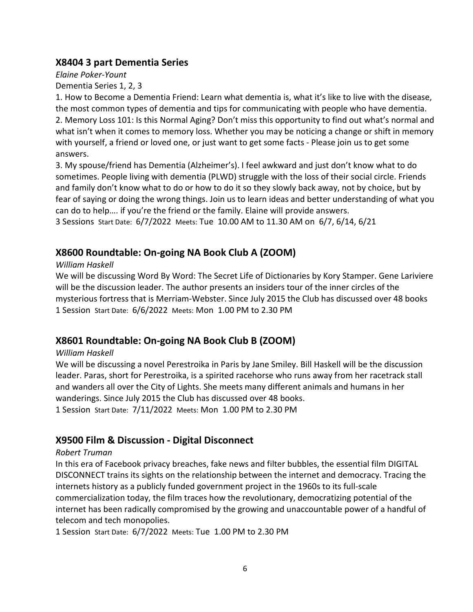## **X8404 3 part Dementia Series**

*Elaine Poker-Yount*

Dementia Series 1, 2, 3

1. How to Become a Dementia Friend: Learn what dementia is, what it's like to live with the disease, the most common types of dementia and tips for communicating with people who have dementia. 2. Memory Loss 101: Is this Normal Aging? Don't miss this opportunity to find out what's normal and what isn't when it comes to memory loss. Whether you may be noticing a change or shift in memory with yourself, a friend or loved one, or just want to get some facts - Please join us to get some answers.

3. My spouse/friend has Dementia (Alzheimer's). I feel awkward and just don't know what to do sometimes. People living with dementia (PLWD) struggle with the loss of their social circle. Friends and family don't know what to do or how to do it so they slowly back away, not by choice, but by fear of saying or doing the wrong things. Join us to learn ideas and better understanding of what you can do to help…. if you're the friend or the family. Elaine will provide answers.

3 Sessions Start Date: 6/7/2022 Meets: Tue 10.00 AM to 11.30 AM on 6/7, 6/14, 6/21

# **X8600 Roundtable: On-going NA Book Club A (ZOOM)**

## *William Haskell*

We will be discussing Word By Word: The Secret Life of Dictionaries by Kory Stamper. Gene Lariviere will be the discussion leader. The author presents an insiders tour of the inner circles of the mysterious fortress that is Merriam-Webster. Since July 2015 the Club has discussed over 48 books 1 Session Start Date: 6/6/2022 Meets: Mon 1.00 PM to 2.30 PM

# **X8601 Roundtable: On-going NA Book Club B (ZOOM)**

## *William Haskell*

We will be discussing a novel Perestroika in Paris by Jane Smiley. Bill Haskell will be the discussion leader. Paras, short for Perestroika, is a spirited racehorse who runs away from her racetrack stall and wanders all over the City of Lights. She meets many different animals and humans in her wanderings. Since July 2015 the Club has discussed over 48 books. 1 Session Start Date: 7/11/2022 Meets: Mon 1.00 PM to 2.30 PM

# **X9500 Film & Discussion - Digital Disconnect**

## *Robert Truman*

In this era of Facebook privacy breaches, fake news and filter bubbles, the essential film DIGITAL DISCONNECT trains its sights on the relationship between the internet and democracy. Tracing the internets history as a publicly funded government project in the 1960s to its full-scale commercialization today, the film traces how the revolutionary, democratizing potential of the internet has been radically compromised by the growing and unaccountable power of a handful of telecom and tech monopolies.

1 Session Start Date: 6/7/2022 Meets: Tue 1.00 PM to 2.30 PM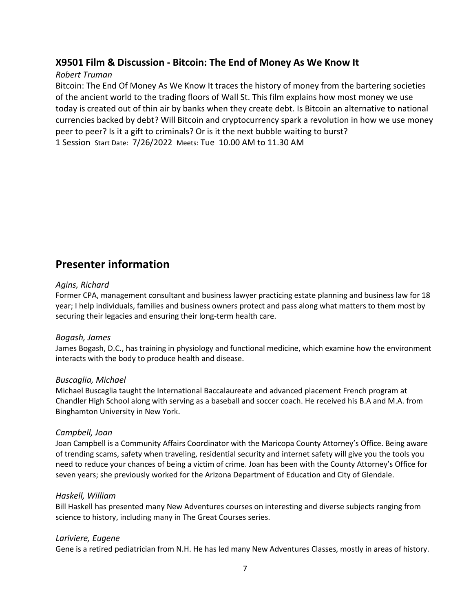## **X9501 Film & Discussion - Bitcoin: The End of Money As We Know It**

## *Robert Truman*

Bitcoin: The End Of Money As We Know It traces the history of money from the bartering societies of the ancient world to the trading floors of Wall St. This film explains how most money we use today is created out of thin air by banks when they create debt. Is Bitcoin an alternative to national currencies backed by debt? Will Bitcoin and cryptocurrency spark a revolution in how we use money peer to peer? Is it a gift to criminals? Or is it the next bubble waiting to burst? 1 Session Start Date: 7/26/2022 Meets: Tue 10.00 AM to 11.30 AM

# **Presenter information**

#### *Agins, Richard*

Former CPA, management consultant and business lawyer practicing estate planning and business law for 18 year; I help individuals, families and business owners protect and pass along what matters to them most by securing their legacies and ensuring their long-term health care.

#### *Bogash, James*

James Bogash, D.C., has training in physiology and functional medicine, which examine how the environment interacts with the body to produce health and disease.

#### *Buscaglia, Michael*

Michael Buscaglia taught the International Baccalaureate and advanced placement French program at Chandler High School along with serving as a baseball and soccer coach. He received his B.A and M.A. from Binghamton University in New York.

#### *Campbell, Joan*

Joan Campbell is a Community Affairs Coordinator with the Maricopa County Attorney's Office. Being aware of trending scams, safety when traveling, residential security and internet safety will give you the tools you need to reduce your chances of being a victim of crime. Joan has been with the County Attorney's Office for seven years; she previously worked for the Arizona Department of Education and City of Glendale.

#### *Haskell, William*

Bill Haskell has presented many New Adventures courses on interesting and diverse subjects ranging from science to history, including many in The Great Courses series.

#### *Lariviere, Eugene*

Gene is a retired pediatrician from N.H. He has led many New Adventures Classes, mostly in areas of history.